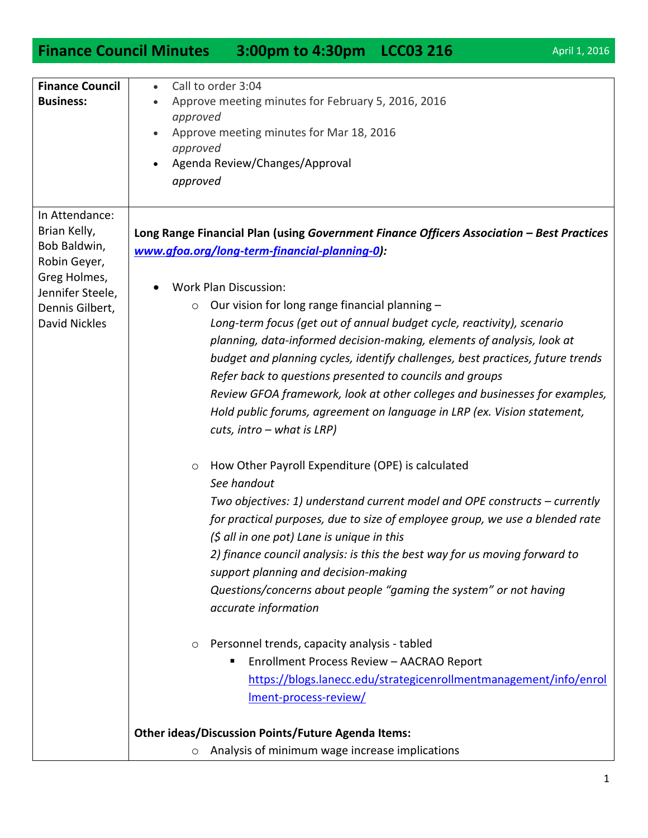## **Finance Council Minutes 3:00pm to 4:30pm LCC03 216** April 1, 2016

| <b>Finance Council</b><br><b>Business:</b>                                                                                                    | Call to order 3:04<br>Approve meeting minutes for February 5, 2016, 2016<br>approved<br>Approve meeting minutes for Mar 18, 2016<br>approved<br>Agenda Review/Changes/Approval<br>approved                                                                                                                                                                                                                                                                                                                                                                                                                                                                                                                                                                                                                                                                                                                                                                                                                                                                                                                                                                                                                                                                                                                                                                                                                                                                       |
|-----------------------------------------------------------------------------------------------------------------------------------------------|------------------------------------------------------------------------------------------------------------------------------------------------------------------------------------------------------------------------------------------------------------------------------------------------------------------------------------------------------------------------------------------------------------------------------------------------------------------------------------------------------------------------------------------------------------------------------------------------------------------------------------------------------------------------------------------------------------------------------------------------------------------------------------------------------------------------------------------------------------------------------------------------------------------------------------------------------------------------------------------------------------------------------------------------------------------------------------------------------------------------------------------------------------------------------------------------------------------------------------------------------------------------------------------------------------------------------------------------------------------------------------------------------------------------------------------------------------------|
| In Attendance:<br>Brian Kelly,<br>Bob Baldwin,<br>Robin Geyer,<br>Greg Holmes,<br>Jennifer Steele,<br>Dennis Gilbert,<br><b>David Nickles</b> | Long Range Financial Plan (using Government Finance Officers Association - Best Practices<br>www.gfoa.org/long-term-financial-planning-0):<br><b>Work Plan Discussion:</b><br>Our vision for long range financial planning -<br>$\circ$<br>Long-term focus (get out of annual budget cycle, reactivity), scenario<br>planning, data-informed decision-making, elements of analysis, look at<br>budget and planning cycles, identify challenges, best practices, future trends<br>Refer back to questions presented to councils and groups<br>Review GFOA framework, look at other colleges and businesses for examples,<br>Hold public forums, agreement on language in LRP (ex. Vision statement,<br>$cuts, intro - what is LRP)$<br>How Other Payroll Expenditure (OPE) is calculated<br>$\circ$<br>See handout<br>Two objectives: 1) understand current model and OPE constructs – currently<br>for practical purposes, due to size of employee group, we use a blended rate<br>$(\xi$ all in one pot) Lane is unique in this<br>2) finance council analysis: is this the best way for us moving forward to<br>support planning and decision-making<br>Questions/concerns about people "gaming the system" or not having<br>accurate information<br>Personnel trends, capacity analysis - tabled<br>$\circ$<br>Enrollment Process Review - AACRAO Report<br>https://blogs.lanecc.edu/strategicenrollmentmanagement/info/enrol<br><u>Iment-process-review/</u> |
|                                                                                                                                               | <b>Other ideas/Discussion Points/Future Agenda Items:</b><br>Analysis of minimum wage increase implications<br>$\circ$                                                                                                                                                                                                                                                                                                                                                                                                                                                                                                                                                                                                                                                                                                                                                                                                                                                                                                                                                                                                                                                                                                                                                                                                                                                                                                                                           |